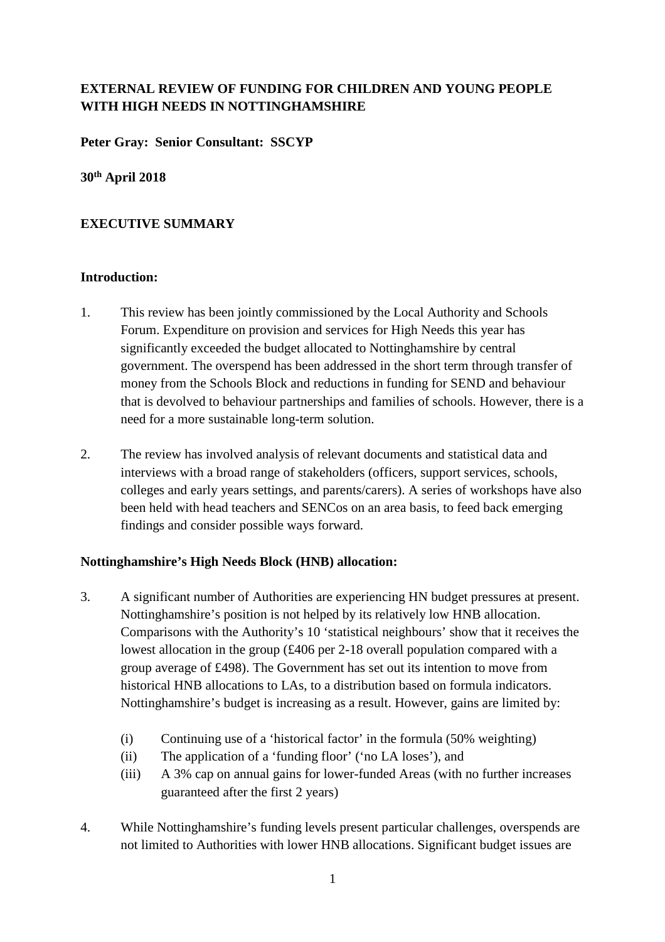# **EXTERNAL REVIEW OF FUNDING FOR CHILDREN AND YOUNG PEOPLE WITH HIGH NEEDS IN NOTTINGHAMSHIRE**

**Peter Gray: Senior Consultant: SSCYP** 

**30th April 2018** 

# **EXECUTIVE SUMMARY**

## **Introduction:**

- 1. This review has been jointly commissioned by the Local Authority and Schools Forum. Expenditure on provision and services for High Needs this year has significantly exceeded the budget allocated to Nottinghamshire by central government. The overspend has been addressed in the short term through transfer of money from the Schools Block and reductions in funding for SEND and behaviour that is devolved to behaviour partnerships and families of schools. However, there is a need for a more sustainable long-term solution.
- 2. The review has involved analysis of relevant documents and statistical data and interviews with a broad range of stakeholders (officers, support services, schools, colleges and early years settings, and parents/carers). A series of workshops have also been held with head teachers and SENCos on an area basis, to feed back emerging findings and consider possible ways forward.

# **Nottinghamshire's High Needs Block (HNB) allocation:**

- 3. A significant number of Authorities are experiencing HN budget pressures at present. Nottinghamshire's position is not helped by its relatively low HNB allocation. Comparisons with the Authority's 10 'statistical neighbours' show that it receives the lowest allocation in the group (£406 per 2-18 overall population compared with a group average of £498). The Government has set out its intention to move from historical HNB allocations to LAs, to a distribution based on formula indicators. Nottinghamshire's budget is increasing as a result. However, gains are limited by:
	- (i) Continuing use of a 'historical factor' in the formula (50% weighting)
	- (ii) The application of a 'funding floor' ('no LA loses'), and
	- (iii) A 3% cap on annual gains for lower-funded Areas (with no further increases guaranteed after the first 2 years)
- 4. While Nottinghamshire's funding levels present particular challenges, overspends are not limited to Authorities with lower HNB allocations. Significant budget issues are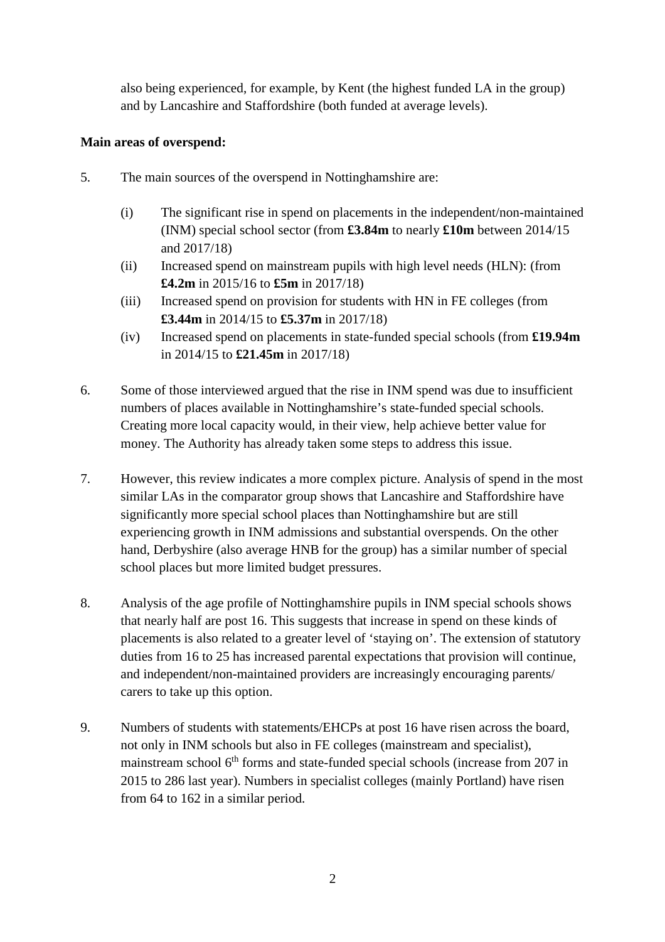also being experienced, for example, by Kent (the highest funded LA in the group) and by Lancashire and Staffordshire (both funded at average levels).

## **Main areas of overspend:**

- 5. The main sources of the overspend in Nottinghamshire are:
	- (i) The significant rise in spend on placements in the independent/non-maintained (INM) special school sector (from **£3.84m** to nearly **£10m** between 2014/15 and 2017/18)
	- (ii) Increased spend on mainstream pupils with high level needs (HLN): (from **£4.2m** in 2015/16 to **£5m** in 2017/18)
	- (iii) Increased spend on provision for students with HN in FE colleges (from **£3.44m** in 2014/15 to **£5.37m** in 2017/18)
	- (iv) Increased spend on placements in state-funded special schools (from **£19.94m** in 2014/15 to **£21.45m** in 2017/18)
- 6. Some of those interviewed argued that the rise in INM spend was due to insufficient numbers of places available in Nottinghamshire's state-funded special schools. Creating more local capacity would, in their view, help achieve better value for money. The Authority has already taken some steps to address this issue.
- 7. However, this review indicates a more complex picture. Analysis of spend in the most similar LAs in the comparator group shows that Lancashire and Staffordshire have significantly more special school places than Nottinghamshire but are still experiencing growth in INM admissions and substantial overspends. On the other hand, Derbyshire (also average HNB for the group) has a similar number of special school places but more limited budget pressures.
- 8. Analysis of the age profile of Nottinghamshire pupils in INM special schools shows that nearly half are post 16. This suggests that increase in spend on these kinds of placements is also related to a greater level of 'staying on'. The extension of statutory duties from 16 to 25 has increased parental expectations that provision will continue, and independent/non-maintained providers are increasingly encouraging parents/ carers to take up this option.
- 9. Numbers of students with statements/EHCPs at post 16 have risen across the board, not only in INM schools but also in FE colleges (mainstream and specialist), mainstream school  $6<sup>th</sup>$  forms and state-funded special schools (increase from 207 in 2015 to 286 last year). Numbers in specialist colleges (mainly Portland) have risen from 64 to 162 in a similar period.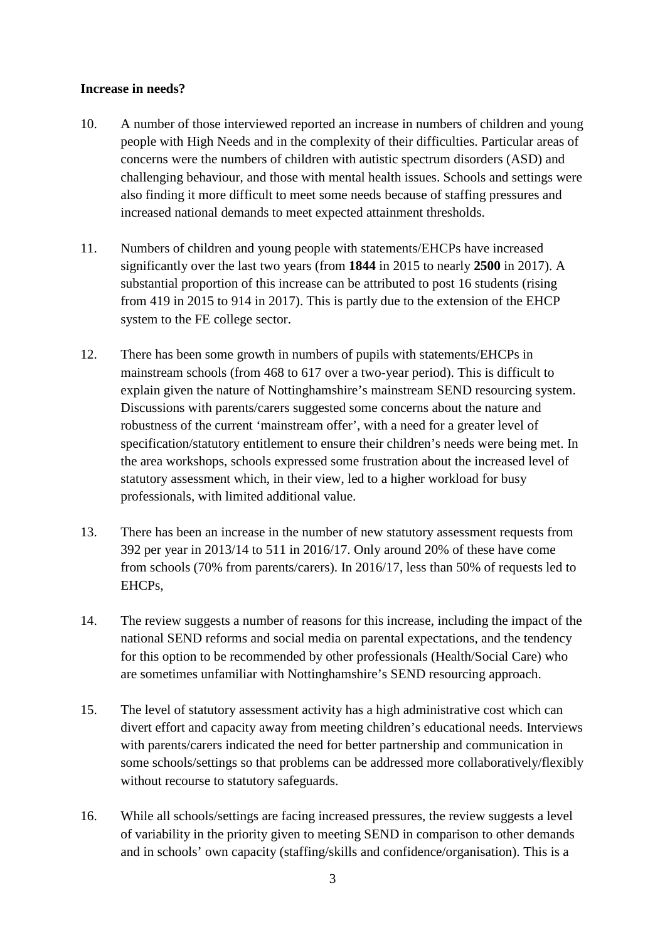#### **Increase in needs?**

- 10. A number of those interviewed reported an increase in numbers of children and young people with High Needs and in the complexity of their difficulties. Particular areas of concerns were the numbers of children with autistic spectrum disorders (ASD) and challenging behaviour, and those with mental health issues. Schools and settings were also finding it more difficult to meet some needs because of staffing pressures and increased national demands to meet expected attainment thresholds.
- 11. Numbers of children and young people with statements/EHCPs have increased significantly over the last two years (from **1844** in 2015 to nearly **2500** in 2017). A substantial proportion of this increase can be attributed to post 16 students (rising from 419 in 2015 to 914 in 2017). This is partly due to the extension of the EHCP system to the FE college sector.
- 12. There has been some growth in numbers of pupils with statements/EHCPs in mainstream schools (from 468 to 617 over a two-year period). This is difficult to explain given the nature of Nottinghamshire's mainstream SEND resourcing system. Discussions with parents/carers suggested some concerns about the nature and robustness of the current 'mainstream offer', with a need for a greater level of specification/statutory entitlement to ensure their children's needs were being met. In the area workshops, schools expressed some frustration about the increased level of statutory assessment which, in their view, led to a higher workload for busy professionals, with limited additional value.
- 13. There has been an increase in the number of new statutory assessment requests from 392 per year in 2013/14 to 511 in 2016/17. Only around 20% of these have come from schools (70% from parents/carers). In 2016/17, less than 50% of requests led to EHCPs,
- 14. The review suggests a number of reasons for this increase, including the impact of the national SEND reforms and social media on parental expectations, and the tendency for this option to be recommended by other professionals (Health/Social Care) who are sometimes unfamiliar with Nottinghamshire's SEND resourcing approach.
- 15. The level of statutory assessment activity has a high administrative cost which can divert effort and capacity away from meeting children's educational needs. Interviews with parents/carers indicated the need for better partnership and communication in some schools/settings so that problems can be addressed more collaboratively/flexibly without recourse to statutory safeguards.
- 16. While all schools/settings are facing increased pressures, the review suggests a level of variability in the priority given to meeting SEND in comparison to other demands and in schools' own capacity (staffing/skills and confidence/organisation). This is a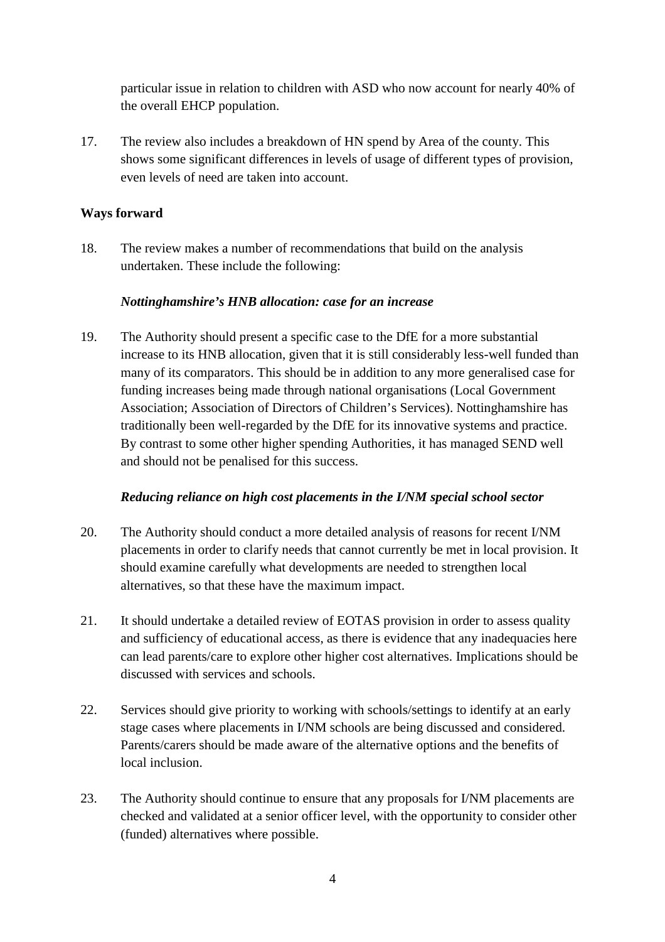particular issue in relation to children with ASD who now account for nearly 40% of the overall EHCP population.

17. The review also includes a breakdown of HN spend by Area of the county. This shows some significant differences in levels of usage of different types of provision, even levels of need are taken into account.

#### **Ways forward**

18. The review makes a number of recommendations that build on the analysis undertaken. These include the following:

### *Nottinghamshire's HNB allocation: case for an increase*

19. The Authority should present a specific case to the DfE for a more substantial increase to its HNB allocation, given that it is still considerably less-well funded than many of its comparators. This should be in addition to any more generalised case for funding increases being made through national organisations (Local Government Association; Association of Directors of Children's Services). Nottinghamshire has traditionally been well-regarded by the DfE for its innovative systems and practice. By contrast to some other higher spending Authorities, it has managed SEND well and should not be penalised for this success.

#### *Reducing reliance on high cost placements in the I/NM special school sector*

- 20. The Authority should conduct a more detailed analysis of reasons for recent I/NM placements in order to clarify needs that cannot currently be met in local provision. It should examine carefully what developments are needed to strengthen local alternatives, so that these have the maximum impact.
- 21. It should undertake a detailed review of EOTAS provision in order to assess quality and sufficiency of educational access, as there is evidence that any inadequacies here can lead parents/care to explore other higher cost alternatives. Implications should be discussed with services and schools.
- 22. Services should give priority to working with schools/settings to identify at an early stage cases where placements in I/NM schools are being discussed and considered. Parents/carers should be made aware of the alternative options and the benefits of local inclusion.
- 23. The Authority should continue to ensure that any proposals for I/NM placements are checked and validated at a senior officer level, with the opportunity to consider other (funded) alternatives where possible.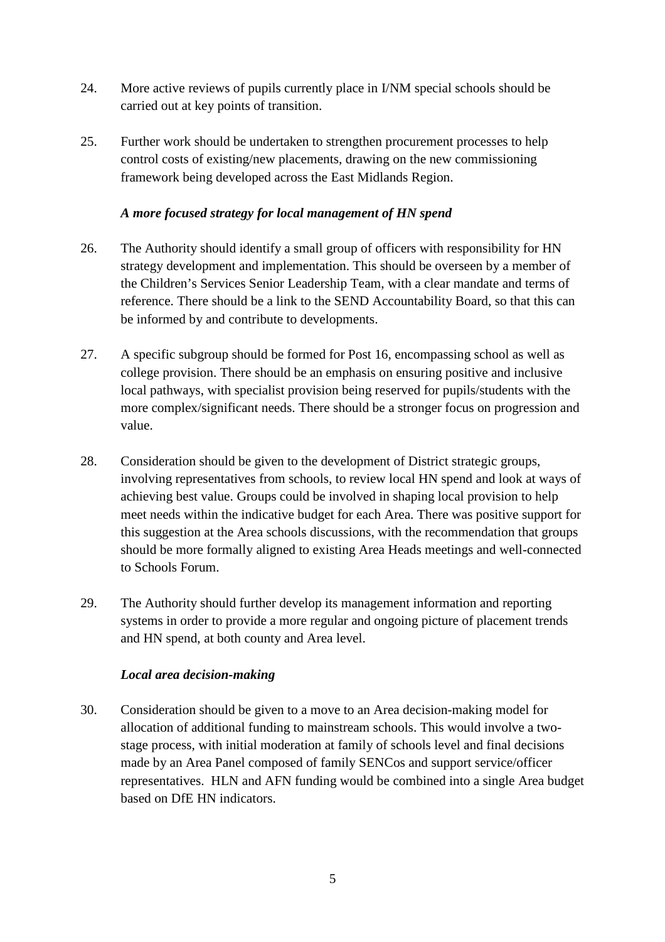- 24. More active reviews of pupils currently place in I/NM special schools should be carried out at key points of transition.
- 25. Further work should be undertaken to strengthen procurement processes to help control costs of existing/new placements, drawing on the new commissioning framework being developed across the East Midlands Region.

#### *A more focused strategy for local management of HN spend*

- 26. The Authority should identify a small group of officers with responsibility for HN strategy development and implementation. This should be overseen by a member of the Children's Services Senior Leadership Team, with a clear mandate and terms of reference. There should be a link to the SEND Accountability Board, so that this can be informed by and contribute to developments.
- 27. A specific subgroup should be formed for Post 16, encompassing school as well as college provision. There should be an emphasis on ensuring positive and inclusive local pathways, with specialist provision being reserved for pupils/students with the more complex/significant needs. There should be a stronger focus on progression and value.
- 28. Consideration should be given to the development of District strategic groups, involving representatives from schools, to review local HN spend and look at ways of achieving best value. Groups could be involved in shaping local provision to help meet needs within the indicative budget for each Area. There was positive support for this suggestion at the Area schools discussions, with the recommendation that groups should be more formally aligned to existing Area Heads meetings and well-connected to Schools Forum.
- 29. The Authority should further develop its management information and reporting systems in order to provide a more regular and ongoing picture of placement trends and HN spend, at both county and Area level.

### *Local area decision-making*

30. Consideration should be given to a move to an Area decision-making model for allocation of additional funding to mainstream schools. This would involve a twostage process, with initial moderation at family of schools level and final decisions made by an Area Panel composed of family SENCos and support service/officer representatives. HLN and AFN funding would be combined into a single Area budget based on DfE HN indicators.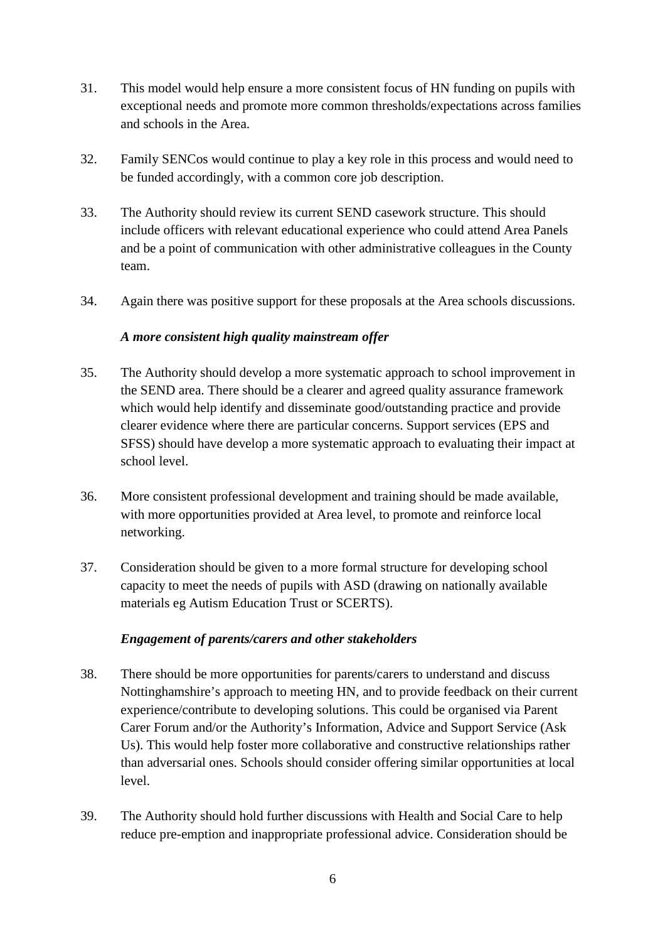- 31. This model would help ensure a more consistent focus of HN funding on pupils with exceptional needs and promote more common thresholds/expectations across families and schools in the Area.
- 32. Family SENCos would continue to play a key role in this process and would need to be funded accordingly, with a common core job description.
- 33. The Authority should review its current SEND casework structure. This should include officers with relevant educational experience who could attend Area Panels and be a point of communication with other administrative colleagues in the County team.
- 34. Again there was positive support for these proposals at the Area schools discussions.

### *A more consistent high quality mainstream offer*

- 35. The Authority should develop a more systematic approach to school improvement in the SEND area. There should be a clearer and agreed quality assurance framework which would help identify and disseminate good/outstanding practice and provide clearer evidence where there are particular concerns. Support services (EPS and SFSS) should have develop a more systematic approach to evaluating their impact at school level.
- 36. More consistent professional development and training should be made available, with more opportunities provided at Area level, to promote and reinforce local networking.
- 37. Consideration should be given to a more formal structure for developing school capacity to meet the needs of pupils with ASD (drawing on nationally available materials eg Autism Education Trust or SCERTS).

### *Engagement of parents/carers and other stakeholders*

- 38. There should be more opportunities for parents/carers to understand and discuss Nottinghamshire's approach to meeting HN, and to provide feedback on their current experience/contribute to developing solutions. This could be organised via Parent Carer Forum and/or the Authority's Information, Advice and Support Service (Ask Us). This would help foster more collaborative and constructive relationships rather than adversarial ones. Schools should consider offering similar opportunities at local level.
- 39. The Authority should hold further discussions with Health and Social Care to help reduce pre-emption and inappropriate professional advice. Consideration should be